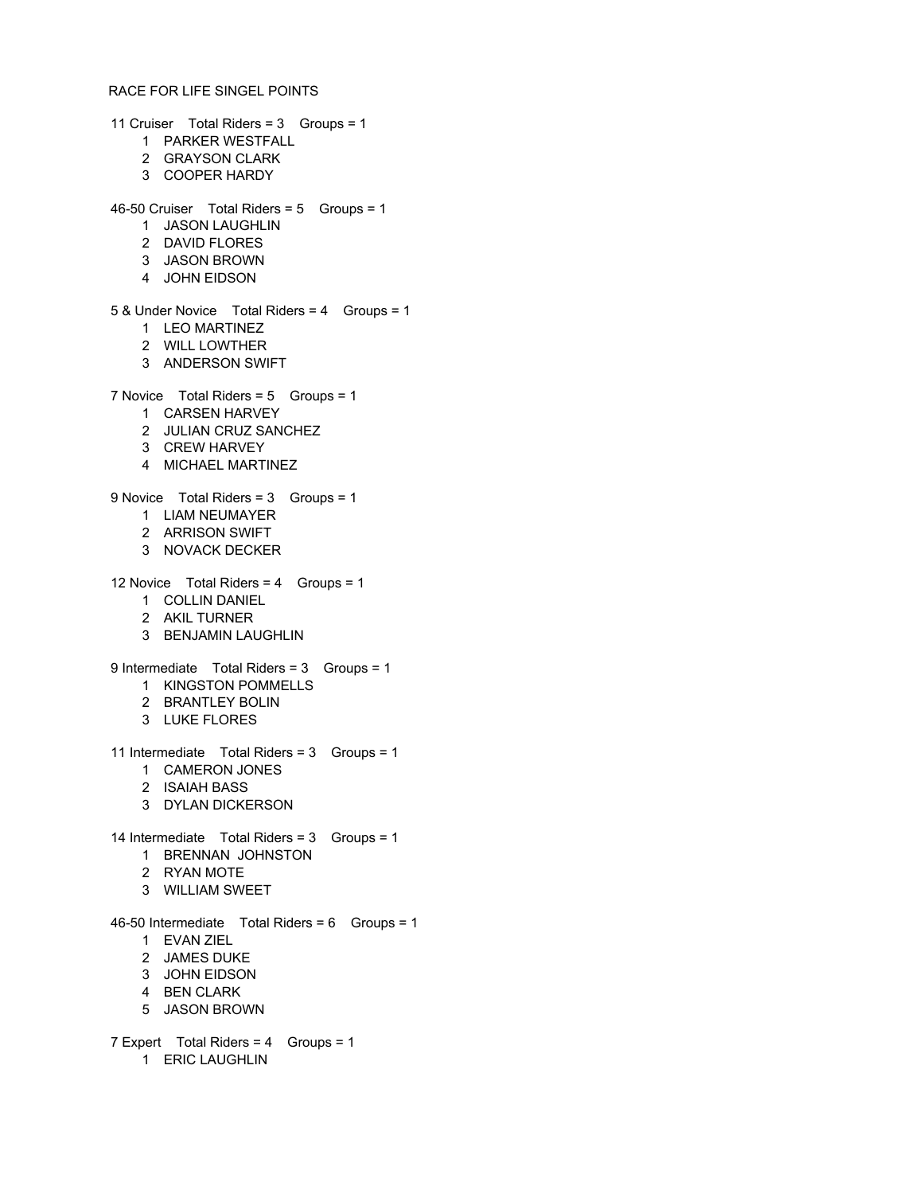## RACE FOR LIFE SINGEL POINTS

11 Cruiser Total Riders = 3 Groups = 1

- PARKER WESTFALL
- GRAYSON CLARK
- COOPER HARDY
- 46-50 Cruiser Total Riders = 5 Groups = 1
	- JASON LAUGHLIN
	- DAVID FLORES
	- JASON BROWN
	- JOHN EIDSON

## 5 & Under Novice Total Riders = 4 Groups = 1

- LEO MARTINEZ
- WILL LOWTHER
- ANDERSON SWIFT
- 
- 7 Novice Total Riders = 5 Groups = 1
	- CARSEN HARVEY
	- JULIAN CRUZ SANCHEZ
	- CREW HARVEY
	- MICHAEL MARTINEZ

9 Novice Total Riders = 3 Groups = 1

- LIAM NEUMAYER
- ARRISON SWIFT
- NOVACK DECKER
- 12 Novice Total Riders = 4 Groups = 1
	- COLLIN DANIEL
	- AKIL TURNER
	- BENJAMIN LAUGHLIN
- 9 Intermediate Total Riders = 3 Groups = 1
	- KINGSTON POMMELLS
	- BRANTLEY BOLIN
	- LUKE FLORES
- 11 Intermediate Total Riders = 3 Groups = 1
	- CAMERON JONES
	- ISAIAH BASS
	- DYLAN DICKERSON
- 14 Intermediate Total Riders = 3 Groups = 1
	- BRENNAN JOHNSTON
	- RYAN MOTE
	- WILLIAM SWEET
- 46-50 Intermediate Total Riders = 6 Groups = 1
	- EVAN ZIEL
	- JAMES DUKE
	- JOHN EIDSON
	- BEN CLARK
	- JASON BROWN
- 7 Expert Total Riders = 4 Groups = 1 ERIC LAUGHLIN